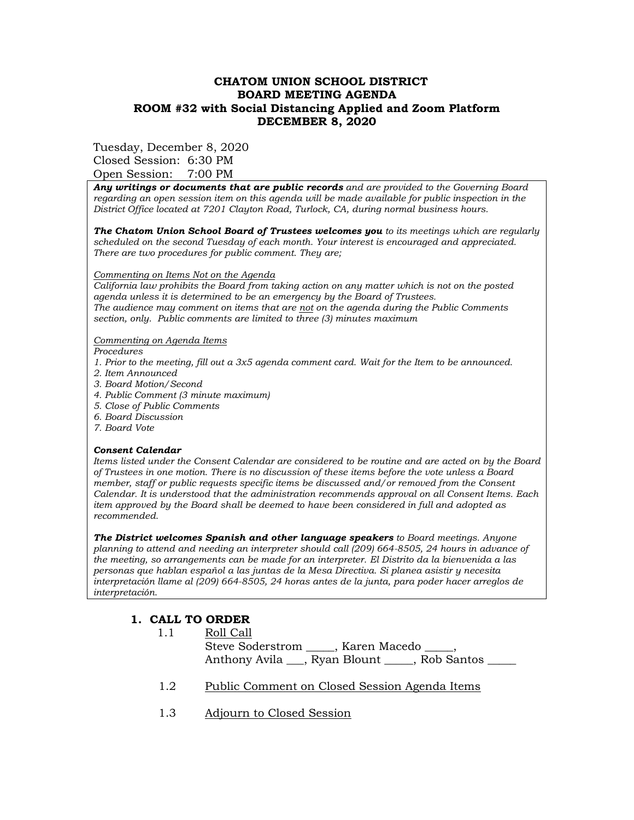### **CHATOM UNION SCHOOL DISTRICT BOARD MEETING AGENDA ROOM #32 with Social Distancing Applied and Zoom Platform DECEMBER 8, 2020**

Tuesday, December 8, 2020

Closed Session: 6:30 PM Open Session: 7:00 PM

*Any writings or documents that are public records and are provided to the Governing Board regarding an open session item on this agenda will be made available for public inspection in the District Office located at 7201 Clayton Road, Turlock, CA, during normal business hours.*

*The Chatom Union School Board of Trustees welcomes you to its meetings which are regularly scheduled on the second Tuesday of each month. Your interest is encouraged and appreciated. There are two procedures for public comment. They are;*

#### *Commenting on Items Not on the Agenda*

*California law prohibits the Board from taking action on any matter which is not on the posted agenda unless it is determined to be an emergency by the Board of Trustees. The audience may comment on items that are not on the agenda during the Public Comments section, only. Public comments are limited to three (3) minutes maximum* 

#### *Commenting on Agenda Items*

*Procedures* 

- *1. Prior to the meeting, fill out a 3x5 agenda comment card. Wait for the Item to be announced.*
- *2. Item Announced*
- *3. Board Motion/Second*
- *4. Public Comment (3 minute maximum)*
- *5. Close of Public Comments*
- *6. Board Discussion*
- *7. Board Vote*

#### *Consent Calendar*

*Items listed under the Consent Calendar are considered to be routine and are acted on by the Board of Trustees in one motion. There is no discussion of these items before the vote unless a Board member, staff or public requests specific items be discussed and/or removed from the Consent Calendar. It is understood that the administration recommends approval on all Consent Items. Each item approved by the Board shall be deemed to have been considered in full and adopted as recommended.* 

*The District welcomes Spanish and other language speakers to Board meetings. Anyone planning to attend and needing an interpreter should call (209) 664-8505, 24 hours in advance of the meeting, so arrangements can be made for an interpreter. El Distrito da la bienvenida a las personas que hablan español a las juntas de la Mesa Directiva. Si planea asistir y necesita interpretación llame al (209) 664-8505, 24 horas antes de la junta, para poder hacer arreglos de interpretación.*

## **1. CALL TO ORDER**

1.1 Roll Call

Steve Soderstrom \_\_\_\_\_, Karen Macedo \_\_\_\_\_, Anthony Avila \_\_\_, Ryan Blount \_\_\_\_, Rob Santos \_\_\_\_

- 1.2 Public Comment on Closed Session Agenda Items
- 1.3 Adjourn to Closed Session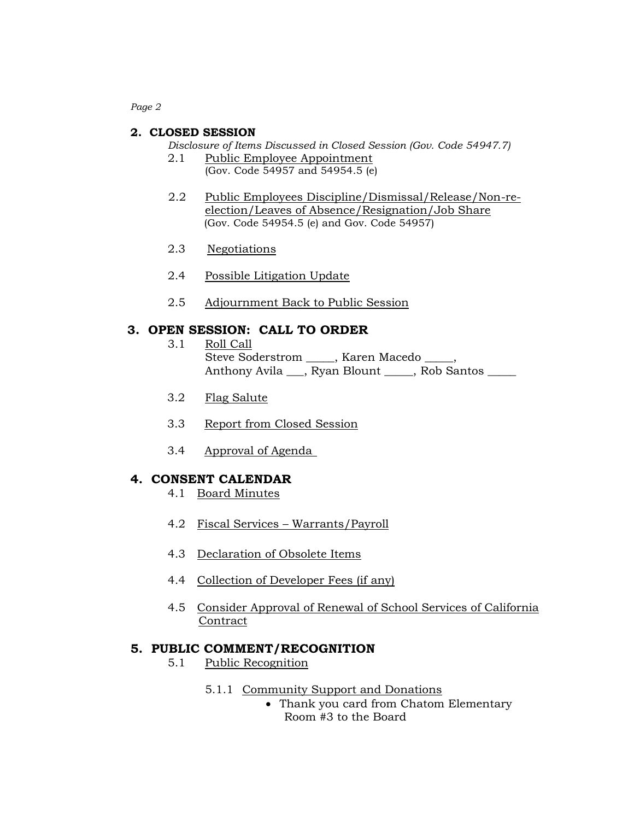*Page 2*

#### **2. CLOSED SESSION**

*Disclosure of Items Discussed in Closed Session (Gov. Code 54947.7)*

- 2.1 Public Employee Appointment (Gov. Code 54957 and 54954.5 (e)
- 2.2 Public Employees Discipline/Dismissal/Release/Non-reelection/Leaves of Absence/Resignation/Job Share (Gov. Code 54954.5 (e) and Gov. Code 54957)
- 2.3 Negotiations
- 2.4 Possible Litigation Update
- 2.5 Adjournment Back to Public Session

## **3. OPEN SESSION: CALL TO ORDER**

- 3.1 Roll Call Steve Soderstrom \_\_\_\_\_, Karen Macedo \_\_\_\_, Anthony Avila \_\_\_, Ryan Blount \_\_\_\_\_\_, Rob Santos
- 3.2 Flag Salute
- 3.3 Report from Closed Session
- 3.4 Approval of Agenda

## **4. CONSENT CALENDAR**

- 4.1 Board Minutes
- 4.2 Fiscal Services Warrants/Payroll
- 4.3 Declaration of Obsolete Items
- 4.4 Collection of Developer Fees (if any)
- 4.5 Consider Approval of Renewal of School Services of California **Contract**

#### **5. PUBLIC COMMENT/RECOGNITION**

- 5.1 Public Recognition
	- 5.1.1 Community Support and Donations
		- Thank you card from Chatom Elementary Room #3 to the Board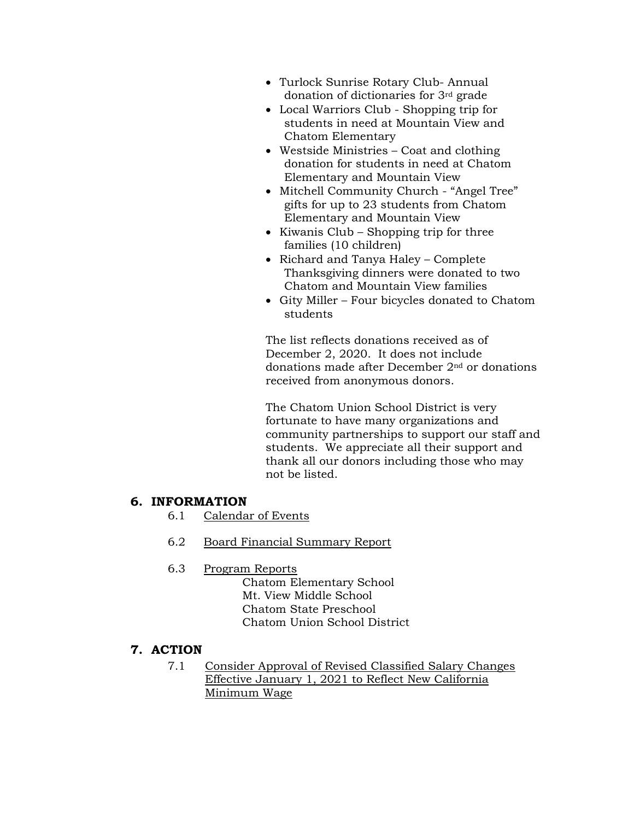- Turlock Sunrise Rotary Club- Annual donation of dictionaries for 3rd grade
- Local Warriors Club Shopping trip for students in need at Mountain View and Chatom Elementary
- Westside Ministries Coat and clothing donation for students in need at Chatom Elementary and Mountain View
- Mitchell Community Church "Angel Tree" gifts for up to 23 students from Chatom Elementary and Mountain View
- Kiwanis Club Shopping trip for three families (10 children)
- Richard and Tanya Haley Complete Thanksgiving dinners were donated to two Chatom and Mountain View families
- Gity Miller Four bicycles donated to Chatom students

The list reflects donations received as of December 2, 2020. It does not include donations made after December 2nd or donations received from anonymous donors.

The Chatom Union School District is very fortunate to have many organizations and community partnerships to support our staff and students. We appreciate all their support and thank all our donors including those who may not be listed.

## **6. INFORMATION**

- 6.1 Calendar of Events
- 6.2 Board Financial Summary Report

## 6.3 Program Reports

Chatom Elementary School Mt. View Middle School Chatom State Preschool Chatom Union School District

# **7. ACTION**

7.1 Consider Approval of Revised Classified Salary Changes Effective January 1, 2021 to Reflect New California Minimum Wage